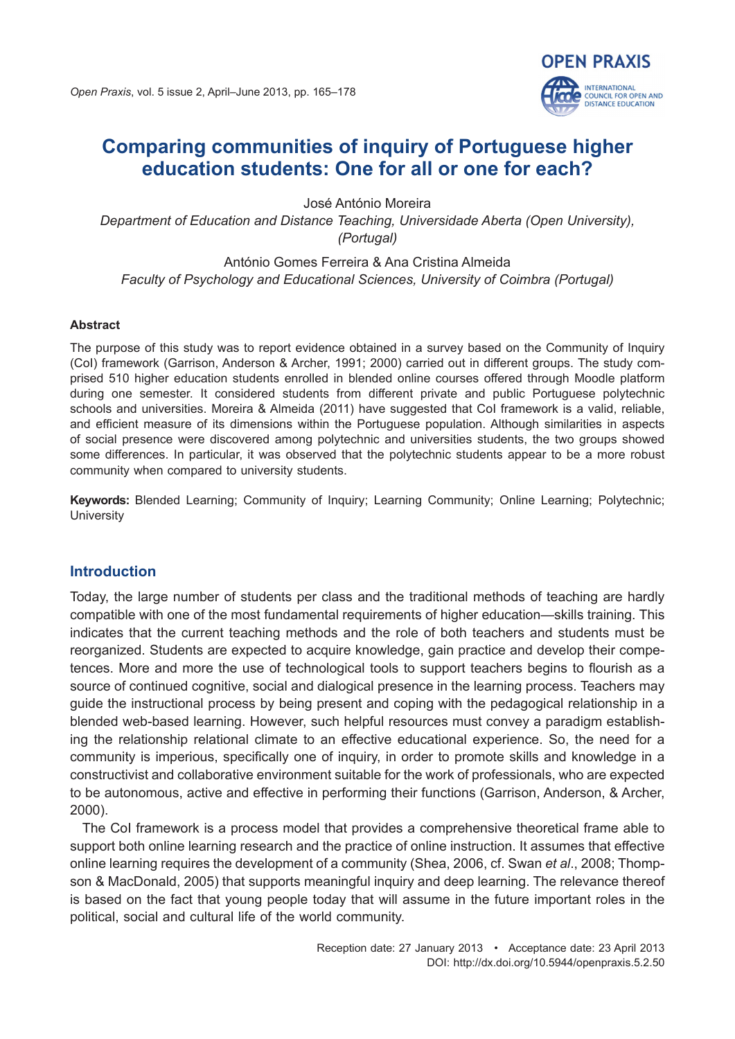**OPEN PRAXIS** 

**INTERNATIONAL** COUNCIL FOR OPEN AND<br>DISTANCE EDUCATION

José António Moreira *Department of Education and Distance Teaching, Universidade Aberta (Open University), (Portugal)*

António Gomes Ferreira & Ana Cristina Almeida *Faculty of Psychology and Educational Sciences, University of Coimbra (Portugal)*

#### **Abstract**

The purpose of this study was to report evidence obtained in a survey based on the Community of Inquiry (CoI) framework (Garrison, Anderson & Archer, 1991; 2000) carried out in different groups. The study comprised 510 higher education students enrolled in blended online courses offered through Moodle platform during one semester. It considered students from different private and public Portuguese polytechnic schools and universities. Moreira & Almeida (2011) have suggested that CoI framework is a valid, reliable, and efficient measure of its dimensions within the Portuguese population. Although similarities in aspects of social presence were discovered among polytechnic and universities students, the two groups showed some differences. In particular, it was observed that the polytechnic students appear to be a more robust community when compared to university students.

**Keywords:** Blended Learning; Community of Inquiry; Learning Community; Online Learning; Polytechnic; **University** 

# **Introduction**

Today, the large number of students per class and the traditional methods of teaching are hardly compatible with one of the most fundamental requirements of higher education—skills training. This indicates that the current teaching methods and the role of both teachers and students must be reorganized. Students are expected to acquire knowledge, gain practice and develop their competences. More and more the use of technological tools to support teachers begins to flourish as a source of continued cognitive, social and dialogical presence in the learning process. Teachers may guide the instructional process by being present and coping with the pedagogical relationship in a blended web-based learning. However, such helpful resources must convey a paradigm establishing the relationship relational climate to an effective educational experience. So, the need for a community is imperious, specifically one of inquiry, in order to promote skills and knowledge in a constructivist and collaborative environment suitable for the work of professionals, who are expected to be autonomous, active and effective in performing their functions (Garrison, Anderson, & Archer, 2000).

The CoI framework is a process model that provides a comprehensive theoretical frame able to support both online learning research and the practice of online instruction. It assumes that effective online learning requires the development of a community (Shea, 2006, cf. Swan *et al*., 2008; Thompson & MacDonald, 2005) that supports meaningful inquiry and deep learning. The relevance thereof is based on the fact that young people today that will assume in the future important roles in the political, social and cultural life of the world community.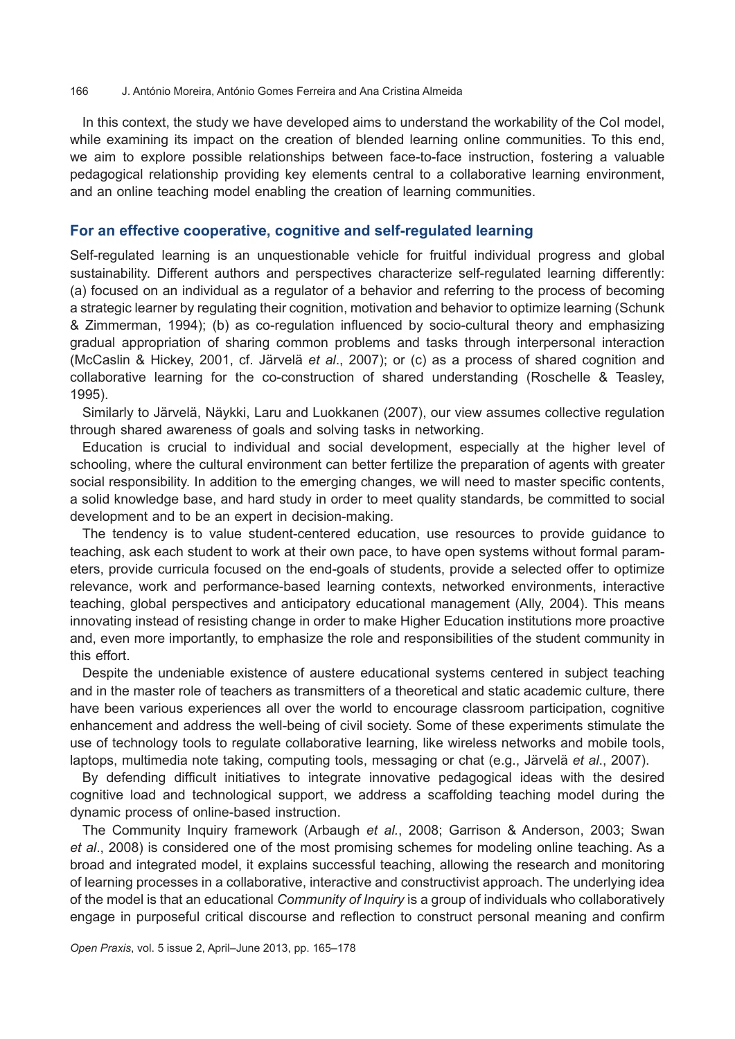In this context, the study we have developed aims to understand the workability of the CoI model, while examining its impact on the creation of blended learning online communities. To this end, we aim to explore possible relationships between face-to-face instruction, fostering a valuable pedagogical relationship providing key elements central to a collaborative learning environment, and an online teaching model enabling the creation of learning communities.

# **For an effective cooperative, cognitive and self-regulated learning**

Self-regulated learning is an unquestionable vehicle for fruitful individual progress and global sustainability. Different authors and perspectives characterize self-regulated learning differently: (a) focused on an individual as a regulator of a behavior and referring to the process of becoming a strategic learner by regulating their cognition, motivation and behavior to optimize learning (Schunk & Zimmerman, 1994); (b) as co-regulation influenced by socio-cultural theory and emphasizing gradual appropriation of sharing common problems and tasks through interpersonal interaction (McCaslin & Hickey, 2001, cf. Järvelä *et al*., 2007); or (c) as a process of shared cognition and collaborative learning for the co-construction of shared understanding (Roschelle & Teasley, 1995).

Similarly to Järvelä, Näykki, Laru and Luokkanen (2007), our view assumes collective regulation through shared awareness of goals and solving tasks in networking.

Education is crucial to individual and social development, especially at the higher level of schooling, where the cultural environment can better fertilize the preparation of agents with greater social responsibility. In addition to the emerging changes, we will need to master specific contents, a solid knowledge base, and hard study in order to meet quality standards, be committed to social development and to be an expert in decision-making.

The tendency is to value student-centered education, use resources to provide guidance to teaching, ask each student to work at their own pace, to have open systems without formal parameters, provide curricula focused on the end-goals of students, provide a selected offer to optimize relevance, work and performance-based learning contexts, networked environments, interactive teaching, global perspectives and anticipatory educational management (Ally, 2004). This means innovating instead of resisting change in order to make Higher Education institutions more proactive and, even more importantly, to emphasize the role and responsibilities of the student community in this effort.

Despite the undeniable existence of austere educational systems centered in subject teaching and in the master role of teachers as transmitters of a theoretical and static academic culture, there have been various experiences all over the world to encourage classroom participation, cognitive enhancement and address the well-being of civil society. Some of these experiments stimulate the use of technology tools to regulate collaborative learning, like wireless networks and mobile tools, laptops, multimedia note taking, computing tools, messaging or chat (e.g., Järvelä *et al*., 2007).

By defending difficult initiatives to integrate innovative pedagogical ideas with the desired cognitive load and technological support, we address a scaffolding teaching model during the dynamic process of online-based instruction.

The Community Inquiry framework (Arbaugh *et al.*, 2008; Garrison & Anderson, 2003; Swan *et al*., 2008) is considered one of the most promising schemes for modeling online teaching. As a broad and integrated model, it explains successful teaching, allowing the research and monitoring of learning processes in a collaborative, interactive and constructivist approach. The underlying idea of the model is that an educational *Community of Inquiry* is a group of individuals who collaboratively engage in purposeful critical discourse and reflection to construct personal meaning and confirm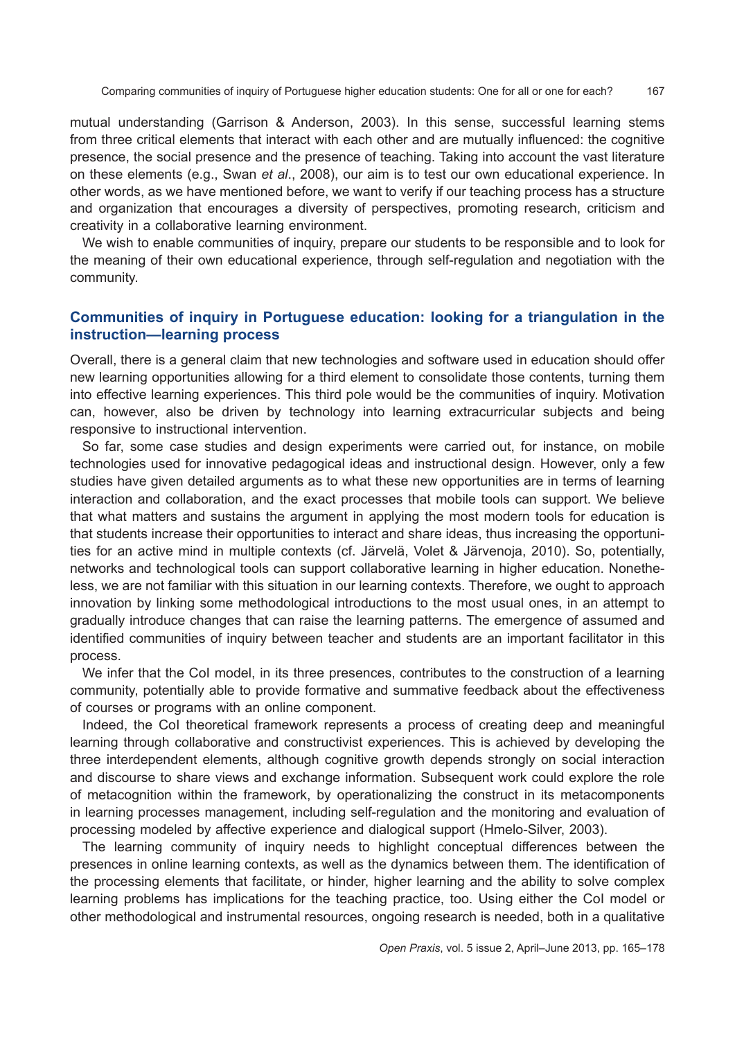mutual understanding (Garrison & Anderson, 2003). In this sense, successful learning stems from three critical elements that interact with each other and are mutually influenced: the cognitive presence, the social presence and the presence of teaching. Taking into account the vast literature on these elements (e.g., Swan *et al*., 2008), our aim is to test our own educational experience. In other words, as we have mentioned before, we want to verify if our teaching process has a structure and organization that encourages a diversity of perspectives, promoting research, criticism and creativity in a collaborative learning environment.

We wish to enable communities of inquiry, prepare our students to be responsible and to look for the meaning of their own educational experience, through self-regulation and negotiation with the community.

# **Communities of inquiry in Portuguese education: looking for a triangulation in the instruction—learning process**

Overall, there is a general claim that new technologies and software used in education should offer new learning opportunities allowing for a third element to consolidate those contents, turning them into effective learning experiences. This third pole would be the communities of inquiry. Motivation can, however, also be driven by technology into learning extracurricular subjects and being responsive to instructional intervention.

So far, some case studies and design experiments were carried out, for instance, on mobile technologies used for innovative pedagogical ideas and instructional design. However, only a few studies have given detailed arguments as to what these new opportunities are in terms of learning interaction and collaboration, and the exact processes that mobile tools can support. We believe that what matters and sustains the argument in applying the most modern tools for education is that students increase their opportunities to interact and share ideas, thus increasing the opportunities for an active mind in multiple contexts (cf. Järvelä, Volet & Järvenoja, 2010). So, potentially, networks and technological tools can support collaborative learning in higher education. Nonetheless, we are not familiar with this situation in our learning contexts. Therefore, we ought to approach innovation by linking some methodological introductions to the most usual ones, in an attempt to gradually introduce changes that can raise the learning patterns. The emergence of assumed and identified communities of inquiry between teacher and students are an important facilitator in this process.

We infer that the CoI model, in its three presences, contributes to the construction of a learning community, potentially able to provide formative and summative feedback about the effectiveness of courses or programs with an online component.

Indeed, the CoI theoretical framework represents a process of creating deep and meaningful learning through collaborative and constructivist experiences. This is achieved by developing the three interdependent elements, although cognitive growth depends strongly on social interaction and discourse to share views and exchange information. Subsequent work could explore the role of metacognition within the framework, by operationalizing the construct in its metacomponents in learning processes management, including self-regulation and the monitoring and evaluation of processing modeled by affective experience and dialogical support (Hmelo-Silver, 2003).

The learning community of inquiry needs to highlight conceptual differences between the presences in online learning contexts, as well as the dynamics between them. The identification of the processing elements that facilitate, or hinder, higher learning and the ability to solve complex learning problems has implications for the teaching practice, too. Using either the CoI model or other methodological and instrumental resources, ongoing research is needed, both in a qualitative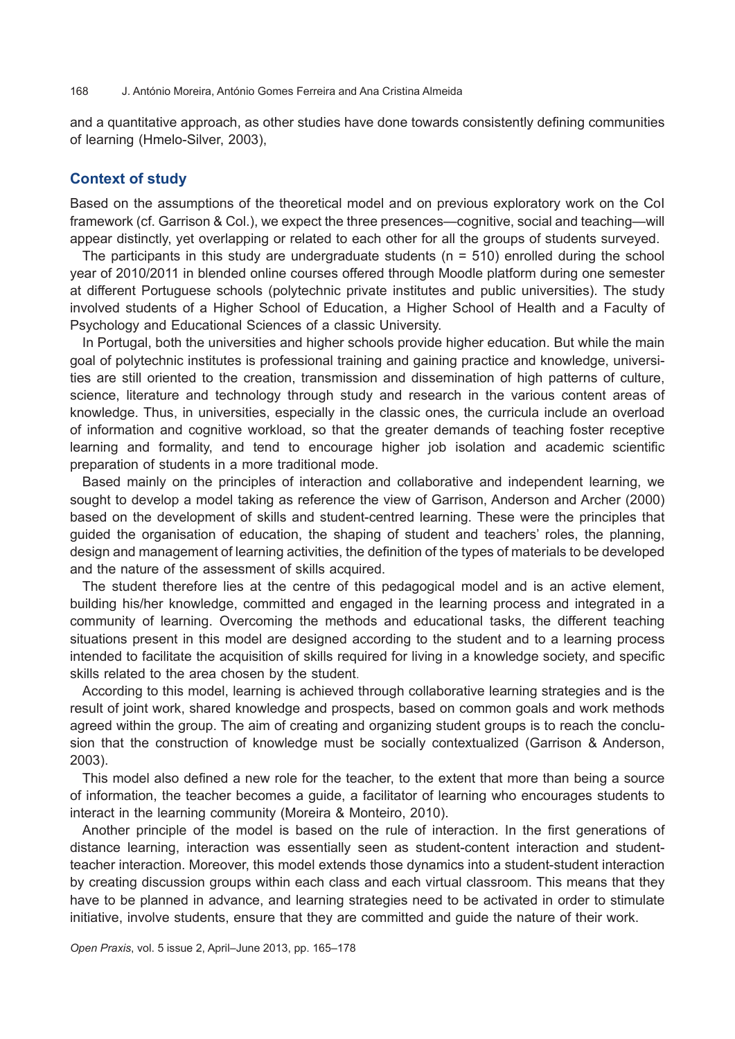and a quantitative approach, as other studies have done towards consistently defining communities of learning (Hmelo-Silver, 2003),

# **Context of study**

Based on the assumptions of the theoretical model and on previous exploratory work on the CoI framework (cf. Garrison & Col.), we expect the three presences—cognitive, social and teaching—will appear distinctly, yet overlapping or related to each other for all the groups of students surveyed.

The participants in this study are undergraduate students ( $n = 510$ ) enrolled during the school year of 2010/2011 in blended online courses offered through Moodle platform during one semester at different Portuguese schools (polytechnic private institutes and public universities). The study involved students of a Higher School of Education, a Higher School of Health and a Faculty of Psychology and Educational Sciences of a classic University.

In Portugal, both the universities and higher schools provide higher education. But while the main goal of polytechnic institutes is professional training and gaining practice and knowledge, universities are still oriented to the creation, transmission and dissemination of high patterns of culture, science, literature and technology through study and research in the various content areas of knowledge. Thus, in universities, especially in the classic ones, the curricula include an overload of information and cognitive workload, so that the greater demands of teaching foster receptive learning and formality, and tend to encourage higher job isolation and academic scientific preparation of students in a more traditional mode.

Based mainly on the principles of interaction and collaborative and independent learning, we sought to develop a model taking as reference the view of Garrison, Anderson and Archer (2000) based on the development of skills and student-centred learning. These were the principles that guided the organisation of education, the shaping of student and teachers' roles, the planning, design and management of learning activities, the definition of the types of materials to be developed and the nature of the assessment of skills acquired.

The student therefore lies at the centre of this pedagogical model and is an active element, building his/her knowledge, committed and engaged in the learning process and integrated in a community of learning. Overcoming the methods and educational tasks, the different teaching situations present in this model are designed according to the student and to a learning process intended to facilitate the acquisition of skills required for living in a knowledge society, and specific skills related to the area chosen by the student.

According to this model, learning is achieved through collaborative learning strategies and is the result of joint work, shared knowledge and prospects, based on common goals and work methods agreed within the group. The aim of creating and organizing student groups is to reach the conclusion that the construction of knowledge must be socially contextualized (Garrison & Anderson, 2003).

This model also defined a new role for the teacher, to the extent that more than being a source of information, the teacher becomes a guide, a facilitator of learning who encourages students to interact in the learning community (Moreira & Monteiro, 2010).

Another principle of the model is based on the rule of interaction. In the first generations of distance learning, interaction was essentially seen as student-content interaction and studentteacher interaction. Moreover, this model extends those dynamics into a student-student interaction by creating discussion groups within each class and each virtual classroom. This means that they have to be planned in advance, and learning strategies need to be activated in order to stimulate initiative, involve students, ensure that they are committed and guide the nature of their work.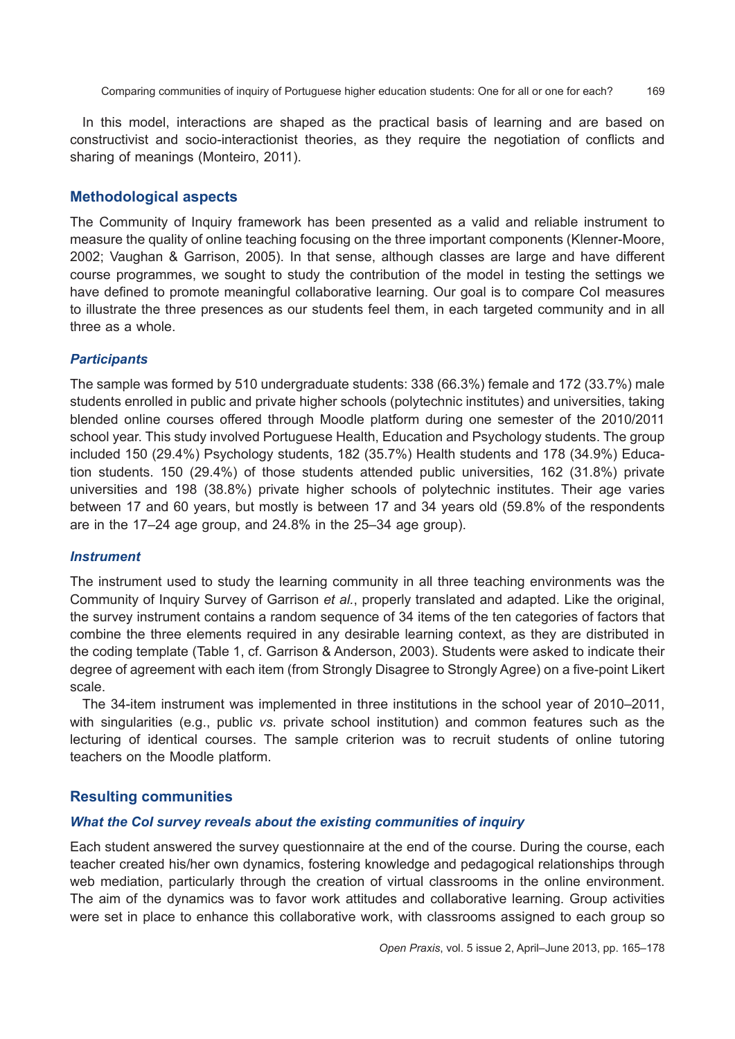In this model, interactions are shaped as the practical basis of learning and are based on constructivist and socio-interactionist theories, as they require the negotiation of conflicts and sharing of meanings (Monteiro, 2011).

### **Methodological aspects**

The Community of Inquiry framework has been presented as a valid and reliable instrument to measure the quality of online teaching focusing on the three important components (Klenner-Moore, 2002; Vaughan & Garrison, 2005). In that sense, although classes are large and have different course programmes, we sought to study the contribution of the model in testing the settings we have defined to promote meaningful collaborative learning. Our goal is to compare CoI measures to illustrate the three presences as our students feel them, in each targeted community and in all three as a whole.

### *Participants*

The sample was formed by 510 undergraduate students: 338 (66.3%) female and 172 (33.7%) male students enrolled in public and private higher schools (polytechnic institutes) and universities, taking blended online courses offered through Moodle platform during one semester of the 2010/2011 school year. This study involved Portuguese Health, Education and Psychology students. The group included 150 (29.4%) Psychology students, 182 (35.7%) Health students and 178 (34.9%) Education students. 150 (29.4%) of those students attended public universities, 162 (31.8%) private universities and 198 (38.8%) private higher schools of polytechnic institutes. Their age varies between 17 and 60 years, but mostly is between 17 and 34 years old (59.8% of the respondents are in the 17–24 age group, and 24.8% in the 25–34 age group).

#### *Instrument*

The instrument used to study the learning community in all three teaching environments was the Community of Inquiry Survey of Garrison *et al.*, properly translated and adapted. Like the original, the survey instrument contains a random sequence of 34 items of the ten categories of factors that combine the three elements required in any desirable learning context, as they are distributed in the coding template (Table 1, cf. Garrison & Anderson, 2003). Students were asked to indicate their degree of agreement with each item (from Strongly Disagree to Strongly Agree) on a five-point Likert scale.

The 34-item instrument was implemented in three institutions in the school year of 2010–2011, with singularities (e.g., public *vs.* private school institution) and common features such as the lecturing of identical courses. The sample criterion was to recruit students of online tutoring teachers on the Moodle platform.

#### **Resulting communities**

#### *What the CoI survey reveals about the existing communities of inquiry*

Each student answered the survey questionnaire at the end of the course. During the course, each teacher created his/her own dynamics, fostering knowledge and pedagogical relationships through web mediation, particularly through the creation of virtual classrooms in the online environment. The aim of the dynamics was to favor work attitudes and collaborative learning. Group activities were set in place to enhance this collaborative work, with classrooms assigned to each group so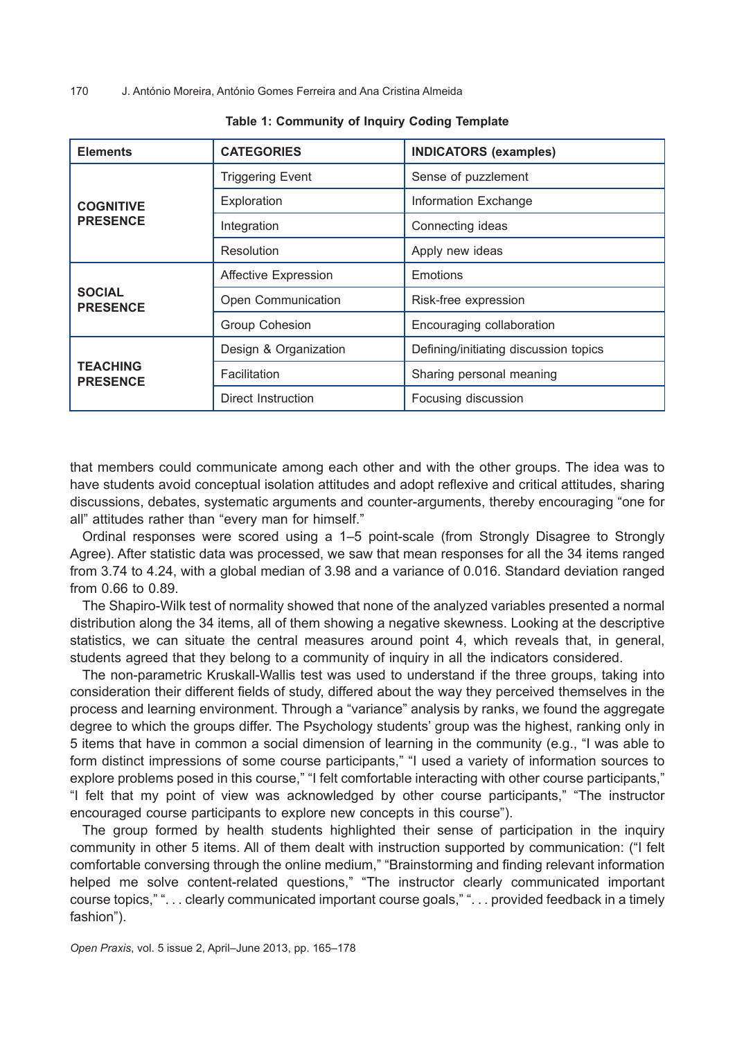| <b>Elements</b>                     | <b>CATEGORIES</b>           | <b>INDICATORS (examples)</b>          |  |
|-------------------------------------|-----------------------------|---------------------------------------|--|
| <b>COGNITIVE</b><br><b>PRESENCE</b> | <b>Triggering Event</b>     | Sense of puzzlement                   |  |
|                                     | Exploration                 | Information Exchange                  |  |
|                                     | Integration                 | Connecting ideas                      |  |
|                                     | Resolution                  | Apply new ideas                       |  |
| <b>SOCIAL</b><br><b>PRESENCE</b>    | <b>Affective Expression</b> | Emotions                              |  |
|                                     | Open Communication          | Risk-free expression                  |  |
|                                     | Group Cohesion              | Encouraging collaboration             |  |
| <b>TEACHING</b><br><b>PRESENCE</b>  | Design & Organization       | Defining/initiating discussion topics |  |
|                                     | Facilitation                | Sharing personal meaning              |  |
|                                     | Direct Instruction          | Focusing discussion                   |  |

that members could communicate among each other and with the other groups. The idea was to have students avoid conceptual isolation attitudes and adopt reflexive and critical attitudes, sharing discussions, debates, systematic arguments and counter-arguments, thereby encouraging "one for all" attitudes rather than "every man for himself."

Ordinal responses were scored using a 1–5 point-scale (from Strongly Disagree to Strongly Agree). After statistic data was processed, we saw that mean responses for all the 34 items ranged from 3.74 to 4.24, with a global median of 3.98 and a variance of 0.016. Standard deviation ranged from 0.66 to 0.89.

The Shapiro-Wilk test of normality showed that none of the analyzed variables presented a normal distribution along the 34 items, all of them showing a negative skewness. Looking at the descriptive statistics, we can situate the central measures around point 4, which reveals that, in general, students agreed that they belong to a community of inquiry in all the indicators considered.

The non-parametric Kruskall-Wallis test was used to understand if the three groups, taking into consideration their different fields of study, differed about the way they perceived themselves in the process and learning environment. Through a "variance" analysis by ranks, we found the aggregate degree to which the groups differ. The Psychology students' group was the highest, ranking only in 5 items that have in common a social dimension of learning in the community (e.g., "I was able to form distinct impressions of some course participants," "I used a variety of information sources to explore problems posed in this course," "I felt comfortable interacting with other course participants," "I felt that my point of view was acknowledged by other course participants," "The instructor encouraged course participants to explore new concepts in this course").

The group formed by health students highlighted their sense of participation in the inquiry community in other 5 items. All of them dealt with instruction supported by communication: ("I felt comfortable conversing through the online medium," "Brainstorming and finding relevant information helped me solve content-related questions," "The instructor clearly communicated important course topics," ". . . clearly communicated important course goals," ". . . provided feedback in a timely fashion").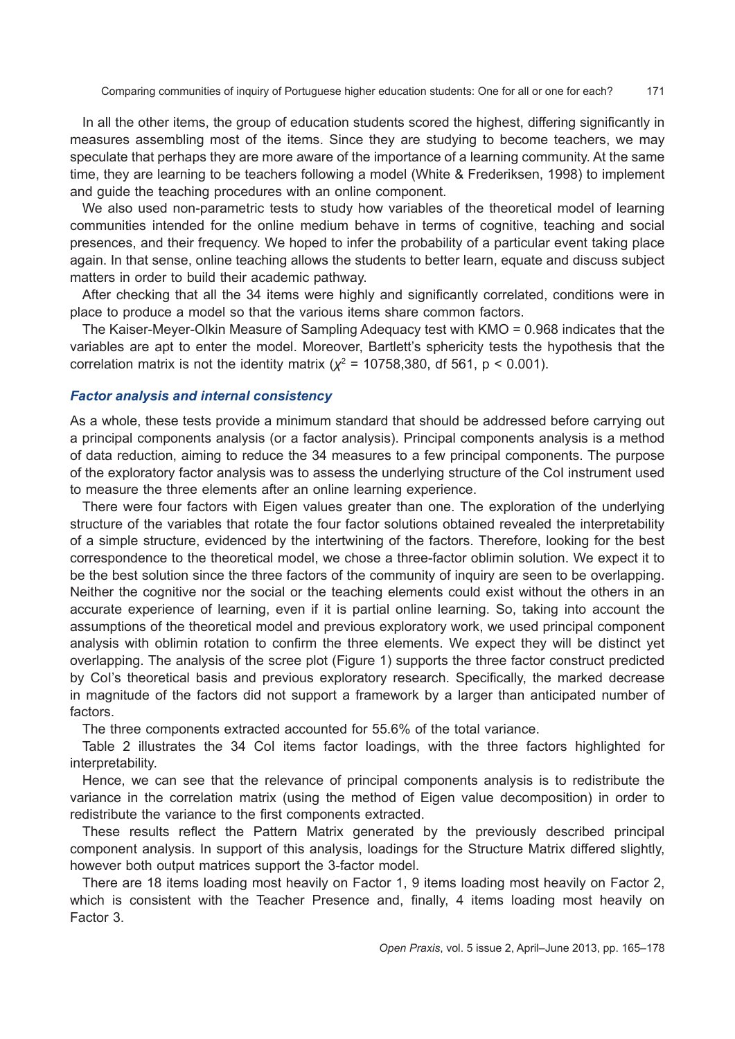In all the other items, the group of education students scored the highest, differing significantly in measures assembling most of the items. Since they are studying to become teachers, we may speculate that perhaps they are more aware of the importance of a learning community. At the same time, they are learning to be teachers following a model (White & Frederiksen, 1998) to implement and guide the teaching procedures with an online component.

We also used non-parametric tests to study how variables of the theoretical model of learning communities intended for the online medium behave in terms of cognitive, teaching and social presences, and their frequency. We hoped to infer the probability of a particular event taking place again. In that sense, online teaching allows the students to better learn, equate and discuss subject matters in order to build their academic pathway.

After checking that all the 34 items were highly and significantly correlated, conditions were in place to produce a model so that the various items share common factors.

The Kaiser-Meyer-Olkin Measure of Sampling Adequacy test with KMO = 0.968 indicates that the variables are apt to enter the model. Moreover, Bartlett's sphericity tests the hypothesis that the correlation matrix is not the identity matrix ( $\chi^2$  = 10758,380, df 561, p < 0.001).

### *Factor analysis and internal consistency*

As a whole, these tests provide a minimum standard that should be addressed before carrying out a principal components analysis (or a factor analysis). Principal components analysis is a method of data reduction, aiming to reduce the 34 measures to a few principal components. The purpose of the exploratory factor analysis was to assess the underlying structure of the CoI instrument used to measure the three elements after an online learning experience.

There were four factors with Eigen values greater than one. The exploration of the underlying structure of the variables that rotate the four factor solutions obtained revealed the interpretability of a simple structure, evidenced by the intertwining of the factors. Therefore, looking for the best correspondence to the theoretical model, we chose a three-factor oblimin solution. We expect it to be the best solution since the three factors of the community of inquiry are seen to be overlapping. Neither the cognitive nor the social or the teaching elements could exist without the others in an accurate experience of learning, even if it is partial online learning. So, taking into account the assumptions of the theoretical model and previous exploratory work, we used principal component analysis with oblimin rotation to confirm the three elements. We expect they will be distinct yet overlapping. The analysis of the scree plot (Figure 1) supports the three factor construct predicted by CoI's theoretical basis and previous exploratory research. Specifically, the marked decrease in magnitude of the factors did not support a framework by a larger than anticipated number of factors.

The three components extracted accounted for 55.6% of the total variance.

Table 2 illustrates the 34 CoI items factor loadings, with the three factors highlighted for interpretability.

Hence, we can see that the relevance of principal components analysis is to redistribute the variance in the correlation matrix (using the method of Eigen value decomposition) in order to redistribute the variance to the first components extracted.

These results reflect the Pattern Matrix generated by the previously described principal component analysis. In support of this analysis, loadings for the Structure Matrix differed slightly, however both output matrices support the 3-factor model.

There are 18 items loading most heavily on Factor 1, 9 items loading most heavily on Factor 2, which is consistent with the Teacher Presence and, finally, 4 items loading most heavily on Factor 3.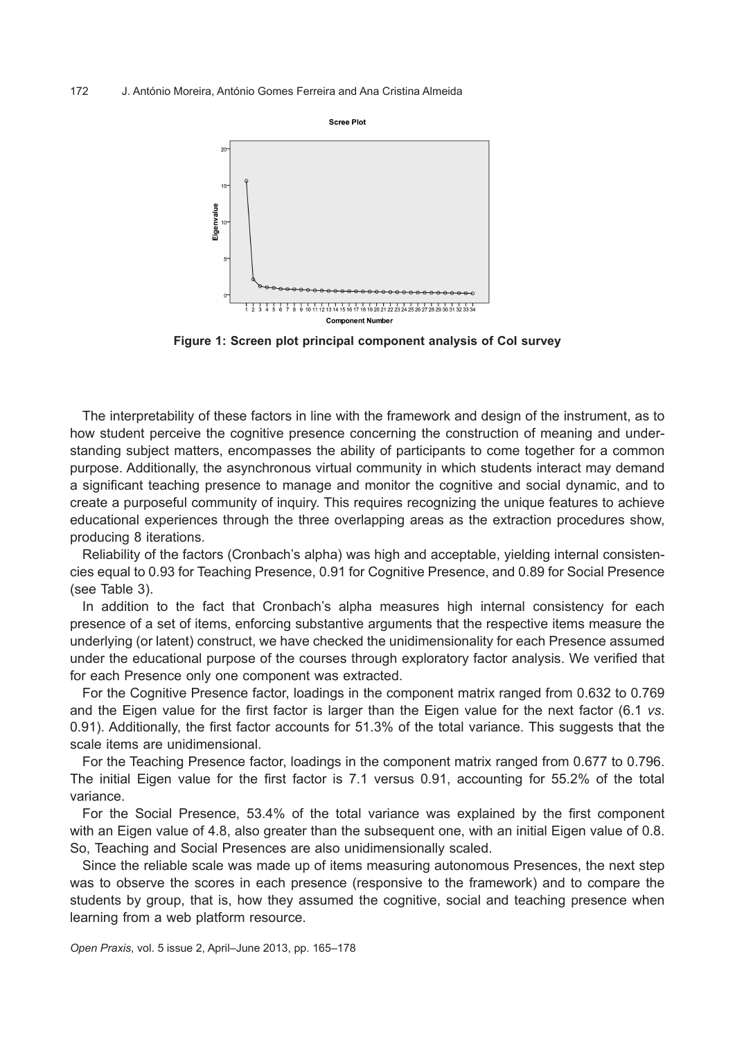

**Figure 1: Screen plot principal component analysis of CoI survey**

The interpretability of these factors in line with the framework and design of the instrument, as to how student perceive the cognitive presence concerning the construction of meaning and understanding subject matters, encompasses the ability of participants to come together for a common purpose. Additionally, the asynchronous virtual community in which students interact may demand a significant teaching presence to manage and monitor the cognitive and social dynamic, and to create a purposeful community of inquiry. This requires recognizing the unique features to achieve educational experiences through the three overlapping areas as the extraction procedures show, producing 8 iterations.

Reliability of the factors (Cronbach's alpha) was high and acceptable, yielding internal consistencies equal to 0.93 for Teaching Presence, 0.91 for Cognitive Presence, and 0.89 for Social Presence (see Table 3).

In addition to the fact that Cronbach's alpha measures high internal consistency for each presence of a set of items, enforcing substantive arguments that the respective items measure the underlying (or latent) construct, we have checked the unidimensionality for each Presence assumed under the educational purpose of the courses through exploratory factor analysis. We verified that for each Presence only one component was extracted.

For the Cognitive Presence factor, loadings in the component matrix ranged from 0.632 to 0.769 and the Eigen value for the first factor is larger than the Eigen value for the next factor (6.1 *vs*. 0.91). Additionally, the first factor accounts for 51.3% of the total variance. This suggests that the scale items are unidimensional.

For the Teaching Presence factor, loadings in the component matrix ranged from 0.677 to 0.796. The initial Eigen value for the first factor is 7.1 versus 0.91, accounting for 55.2% of the total variance.

For the Social Presence, 53.4% of the total variance was explained by the first component with an Eigen value of 4.8, also greater than the subsequent one, with an initial Eigen value of 0.8. So, Teaching and Social Presences are also unidimensionally scaled.

Since the reliable scale was made up of items measuring autonomous Presences, the next step was to observe the scores in each presence (responsive to the framework) and to compare the students by group, that is, how they assumed the cognitive, social and teaching presence when learning from a web platform resource.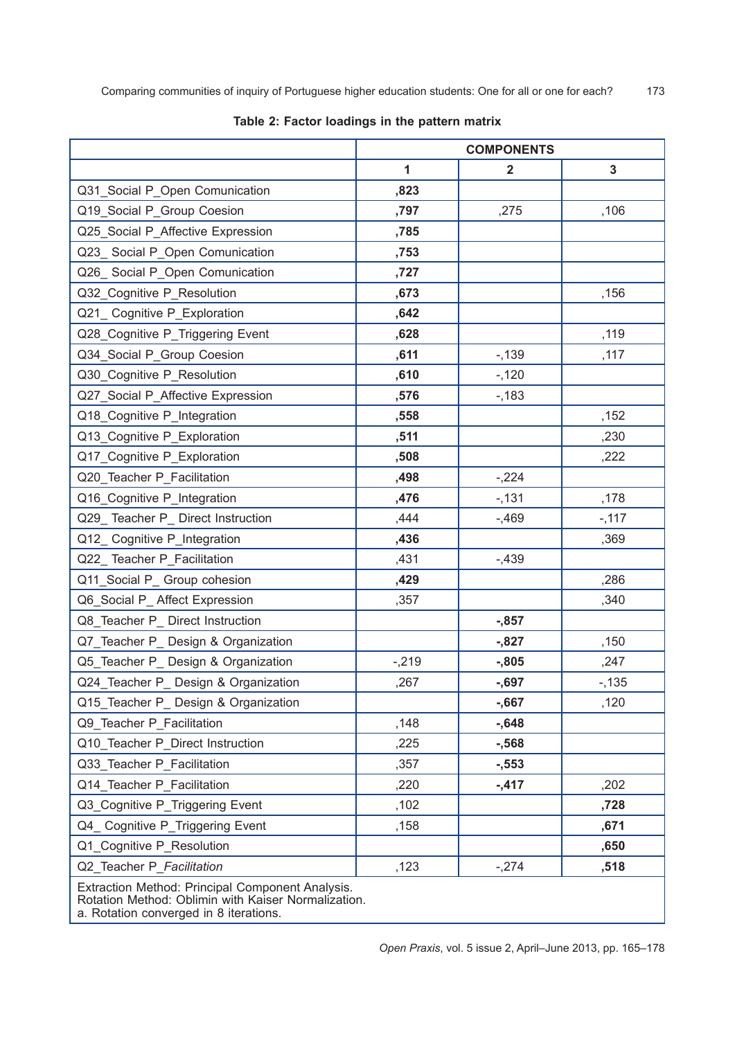|                                                                                                         | <b>COMPONENTS</b> |                |        |  |  |
|---------------------------------------------------------------------------------------------------------|-------------------|----------------|--------|--|--|
|                                                                                                         | 1                 | $\overline{2}$ | 3      |  |  |
| Q31_Social P_Open Comunication                                                                          | ,823              |                |        |  |  |
| Q19_Social P_Group Coesion                                                                              | ,797              | ,275           | ,106   |  |  |
| Q25_Social P_Affective Expression                                                                       | ,785              |                |        |  |  |
| Q23_ Social P_Open Comunication                                                                         | ,753              |                |        |  |  |
| Q26_ Social P_Open Comunication                                                                         | ,727              |                |        |  |  |
| Q32_Cognitive P_Resolution                                                                              | ,673              |                | ,156   |  |  |
| Q21_ Cognitive P_Exploration                                                                            | ,642              |                |        |  |  |
| Q28_Cognitive P_Triggering Event                                                                        | ,628              |                | ,119   |  |  |
| Q34_Social P_Group Coesion                                                                              | ,611              | $-139$         | ,117   |  |  |
| Q30_Cognitive P_Resolution                                                                              | ,610              | $-120$         |        |  |  |
| Q27_Social P_Affective Expression                                                                       | ,576              | $-183$         |        |  |  |
| Q18_Cognitive P_Integration                                                                             | ,558              |                | ,152   |  |  |
| Q13_Cognitive P_Exploration                                                                             | ,511              |                | ,230   |  |  |
| Q17_Cognitive P_Exploration                                                                             | ,508              |                | ,222   |  |  |
| Q20_Teacher P_Facilitation                                                                              | ,498              | $-224$         |        |  |  |
| Q16_Cognitive P_Integration                                                                             | ,476              | $-131$         | ,178   |  |  |
| Q29_Teacher P_ Direct Instruction                                                                       | ,444              | $-0.469$       | $-117$ |  |  |
| Q12_ Cognitive P_Integration                                                                            | ,436              |                | ,369   |  |  |
| Q22_Teacher P_Facilitation                                                                              | ,431              | $-0.439$       |        |  |  |
| Q11_Social P_ Group cohesion                                                                            | ,429              |                | ,286   |  |  |
| Q6_Social P_ Affect Expression                                                                          | ,357              |                | ,340   |  |  |
| Q8_Teacher P_ Direct Instruction                                                                        |                   | $-0.857$       |        |  |  |
| Q7_Teacher P_ Design & Organization                                                                     |                   | $-0.827$       | ,150   |  |  |
| Q5_Teacher P_ Design & Organization                                                                     | $-219$            | $-0.805$       | ,247   |  |  |
| Q24_Teacher P_ Design & Organization                                                                    | ,267              | $-0.697$       | $-135$ |  |  |
| Q15_Teacher P_ Design & Organization                                                                    |                   | $-0.667$       | ,120   |  |  |
| Q9_Teacher P_Facilitation                                                                               | ,148              | $-0.648$       |        |  |  |
| Q10_Teacher P_Direct Instruction                                                                        | ,225              | $-568$         |        |  |  |
| Q33_Teacher P_Facilitation                                                                              | ,357              | $-553$         |        |  |  |
| Q14_Teacher P_Facilitation                                                                              | ,220              | $-417$         | ,202   |  |  |
| Q3_Cognitive P_Triggering Event                                                                         | ,102              |                | ,728   |  |  |
| Q4_ Cognitive P_Triggering Event                                                                        | ,158              |                | ,671   |  |  |
| Q1_Cognitive P_Resolution                                                                               |                   |                | ,650   |  |  |
| Q2_Teacher P_Facilitation                                                                               | ,123              | $-274$         | ,518   |  |  |
| Extraction Method: Principal Component Analysis.<br>Rotation Method: Oblimin with Kaiser Normalization. |                   |                |        |  |  |

# **Table 2: Factor loadings in the pattern matrix**

a. Rotation converged in 8 iterations.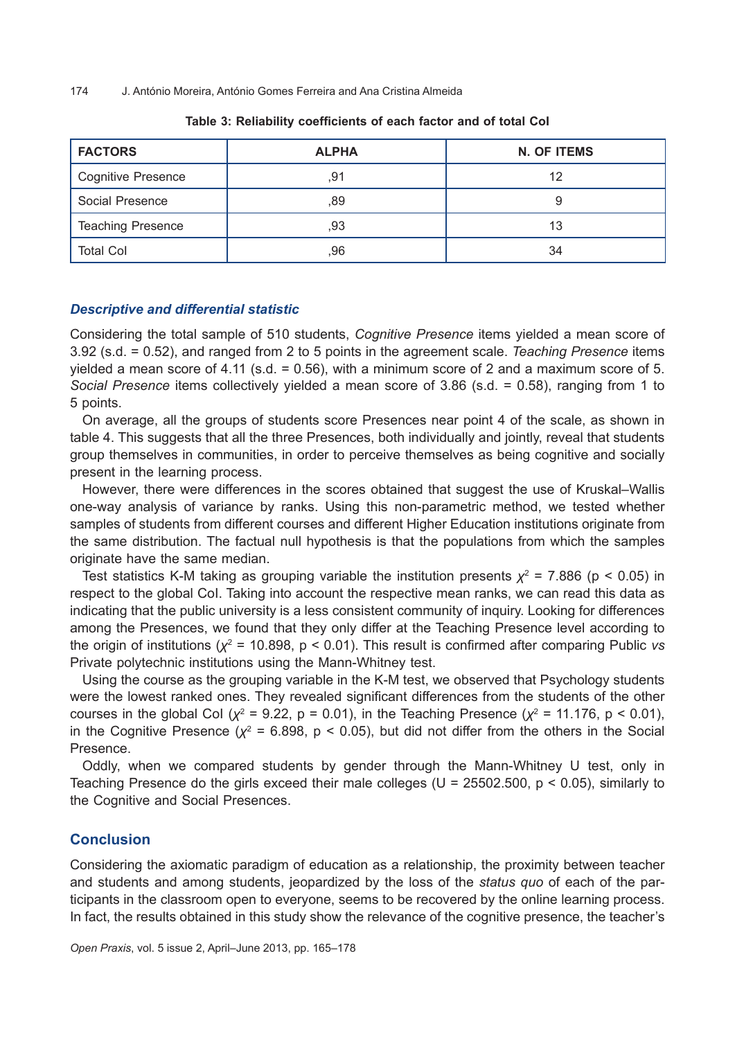| <b>FACTORS</b>            | <b>ALPHA</b> | <b>N. OF ITEMS</b> |  |
|---------------------------|--------------|--------------------|--|
| <b>Cognitive Presence</b> | ,91          | 12                 |  |
| Social Presence           | ,89          |                    |  |
| <b>Teaching Presence</b>  | ,93          | 13                 |  |
| <b>Total Col</b>          | ,96          | 34                 |  |

#### **Table 3: Reliability coefficients of each factor and of total CoI**

# *Descriptive and differential statistic*

Considering the total sample of 510 students, *Cognitive Presence* items yielded a mean score of 3.92 (s.d. = 0.52), and ranged from 2 to 5 points in the agreement scale. *Teaching Presence* items yielded a mean score of 4.11 (s.d. = 0.56), with a minimum score of 2 and a maximum score of 5. *Social Presence* items collectively yielded a mean score of 3.86 (s.d. = 0.58), ranging from 1 to 5 points.

On average, all the groups of students score Presences near point 4 of the scale, as shown in table 4. This suggests that all the three Presences, both individually and jointly, reveal that students group themselves in communities, in order to perceive themselves as being cognitive and socially present in the learning process.

However, there were differences in the scores obtained that suggest the use of Kruskal–Wallis one-way analysis of variance by ranks. Using this non-parametric method, we tested whether samples of students from different courses and different Higher Education institutions originate from the same distribution. The factual null hypothesis is that the populations from which the samples originate have the same median.

Test statistics K-M taking as grouping variable the institution presents  $\chi^2$  = 7.886 (p < 0.05) in respect to the global CoI. Taking into account the respective mean ranks, we can read this data as indicating that the public university is a less consistent community of inquiry. Looking for differences among the Presences, we found that they only differ at the Teaching Presence level according to the origin of institutions (*χ*<sup>2</sup> = 10.898, p < 0.01). This result is confirmed after comparing Public *vs* Private polytechnic institutions using the Mann-Whitney test.

Using the course as the grouping variable in the K-M test, we observed that Psychology students were the lowest ranked ones. They revealed significant differences from the students of the other courses in the global CoI ( $\chi^2$  = 9.22, p = 0.01), in the Teaching Presence ( $\chi^2$  = 11.176, p < 0.01), in the Cognitive Presence  $(\chi^2 = 6.898, p < 0.05)$ , but did not differ from the others in the Social Presence.

Oddly, when we compared students by gender through the Mann-Whitney U test, only in Teaching Presence do the girls exceed their male colleges ( $U = 25502.500$ ,  $p < 0.05$ ), similarly to the Cognitive and Social Presences.

# **Conclusion**

Considering the axiomatic paradigm of education as a relationship, the proximity between teacher and students and among students, jeopardized by the loss of the *status quo* of each of the participants in the classroom open to everyone, seems to be recovered by the online learning process. In fact, the results obtained in this study show the relevance of the cognitive presence, the teacher's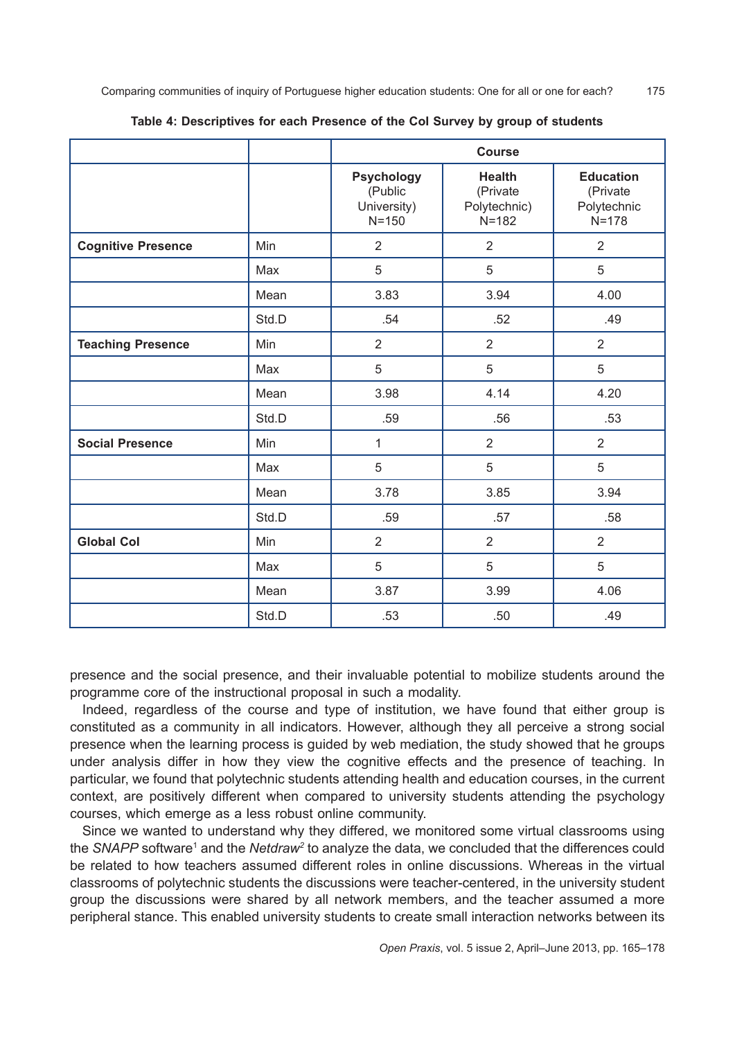|                           |       | <b>Course</b>                                            |                                                        |                                                          |
|---------------------------|-------|----------------------------------------------------------|--------------------------------------------------------|----------------------------------------------------------|
|                           |       | <b>Psychology</b><br>(Public<br>University)<br>$N = 150$ | <b>Health</b><br>(Private<br>Polytechnic)<br>$N = 182$ | <b>Education</b><br>(Private<br>Polytechnic<br>$N = 178$ |
| <b>Cognitive Presence</b> | Min   | $\overline{2}$                                           | $\overline{2}$                                         | $\overline{2}$                                           |
|                           | Max   | 5                                                        | 5                                                      | 5                                                        |
|                           | Mean  | 3.83                                                     | 3.94                                                   | 4.00                                                     |
|                           | Std.D | .54                                                      | .52                                                    | .49                                                      |
| <b>Teaching Presence</b>  | Min   | $\overline{2}$                                           | $\overline{2}$                                         | $\overline{2}$                                           |
|                           | Max   | 5                                                        | 5                                                      | 5                                                        |
|                           | Mean  | 3.98                                                     | 4.14                                                   | 4.20                                                     |
|                           | Std.D | .59                                                      | .56                                                    | .53                                                      |
| <b>Social Presence</b>    | Min   | $\mathbf{1}$                                             | $\overline{2}$                                         | $\overline{2}$                                           |
|                           | Max   | 5                                                        | 5                                                      | 5                                                        |
|                           | Mean  | 3.78                                                     | 3.85                                                   | 3.94                                                     |
|                           | Std.D | .59                                                      | .57                                                    | .58                                                      |
| <b>Global Col</b>         | Min   | $\overline{2}$                                           | $\overline{2}$                                         | $\overline{2}$                                           |
|                           | Max   | 5                                                        | 5                                                      | 5                                                        |
|                           | Mean  | 3.87                                                     | 3.99                                                   | 4.06                                                     |
|                           | Std.D | .53                                                      | .50                                                    | .49                                                      |

#### **Table 4: Descriptives for each Presence of the CoI Survey by group of students**

presence and the social presence, and their invaluable potential to mobilize students around the programme core of the instructional proposal in such a modality.

Indeed, regardless of the course and type of institution, we have found that either group is constituted as a community in all indicators. However, although they all perceive a strong social presence when the learning process is guided by web mediation, the study showed that he groups under analysis differ in how they view the cognitive effects and the presence of teaching. In particular, we found that polytechnic students attending health and education courses, in the current context, are positively different when compared to university students attending the psychology courses, which emerge as a less robust online community.

Since we wanted to understand why they differed, we monitored some virtual classrooms using the *SNAPP* software<sup>1</sup> and the *Netdraw*<sup>2</sup> to analyze the data, we concluded that the differences could be related to how teachers assumed different roles in online discussions. Whereas in the virtual classrooms of polytechnic students the discussions were teacher-centered, in the university student group the discussions were shared by all network members, and the teacher assumed a more peripheral stance. This enabled university students to create small interaction networks between its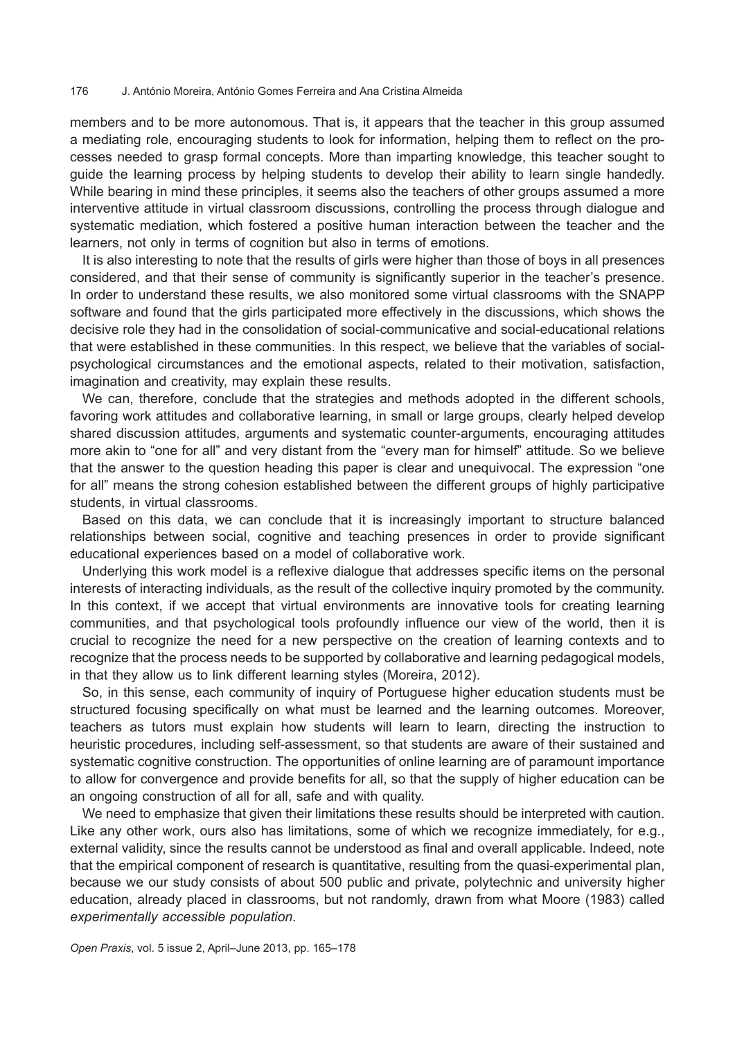members and to be more autonomous. That is, it appears that the teacher in this group assumed a mediating role, encouraging students to look for information, helping them to reflect on the processes needed to grasp formal concepts. More than imparting knowledge, this teacher sought to guide the learning process by helping students to develop their ability to learn single handedly. While bearing in mind these principles, it seems also the teachers of other groups assumed a more interventive attitude in virtual classroom discussions, controlling the process through dialogue and systematic mediation, which fostered a positive human interaction between the teacher and the learners, not only in terms of cognition but also in terms of emotions.

It is also interesting to note that the results of girls were higher than those of boys in all presences considered, and that their sense of community is significantly superior in the teacher's presence. In order to understand these results, we also monitored some virtual classrooms with the SNAPP software and found that the girls participated more effectively in the discussions, which shows the decisive role they had in the consolidation of social-communicative and social-educational relations that were established in these communities. In this respect, we believe that the variables of socialpsychological circumstances and the emotional aspects, related to their motivation, satisfaction, imagination and creativity, may explain these results.

We can, therefore, conclude that the strategies and methods adopted in the different schools, favoring work attitudes and collaborative learning, in small or large groups, clearly helped develop shared discussion attitudes, arguments and systematic counter-arguments, encouraging attitudes more akin to "one for all" and very distant from the "every man for himself" attitude. So we believe that the answer to the question heading this paper is clear and unequivocal. The expression "one for all" means the strong cohesion established between the different groups of highly participative students, in virtual classrooms.

Based on this data, we can conclude that it is increasingly important to structure balanced relationships between social, cognitive and teaching presences in order to provide significant educational experiences based on a model of collaborative work.

Underlying this work model is a reflexive dialogue that addresses specific items on the personal interests of interacting individuals, as the result of the collective inquiry promoted by the community. In this context, if we accept that virtual environments are innovative tools for creating learning communities, and that psychological tools profoundly influence our view of the world, then it is crucial to recognize the need for a new perspective on the creation of learning contexts and to recognize that the process needs to be supported by collaborative and learning pedagogical models, in that they allow us to link different learning styles (Moreira, 2012).

So, in this sense, each community of inquiry of Portuguese higher education students must be structured focusing specifically on what must be learned and the learning outcomes. Moreover, teachers as tutors must explain how students will learn to learn, directing the instruction to heuristic procedures, including self-assessment, so that students are aware of their sustained and systematic cognitive construction. The opportunities of online learning are of paramount importance to allow for convergence and provide benefits for all, so that the supply of higher education can be an ongoing construction of all for all, safe and with quality.

We need to emphasize that given their limitations these results should be interpreted with caution. Like any other work, ours also has limitations, some of which we recognize immediately, for e.g., external validity, since the results cannot be understood as final and overall applicable. Indeed, note that the empirical component of research is quantitative, resulting from the quasi-experimental plan, because we our study consists of about 500 public and private, polytechnic and university higher education, already placed in classrooms, but not randomly, drawn from what Moore (1983) called *experimentally accessible population.*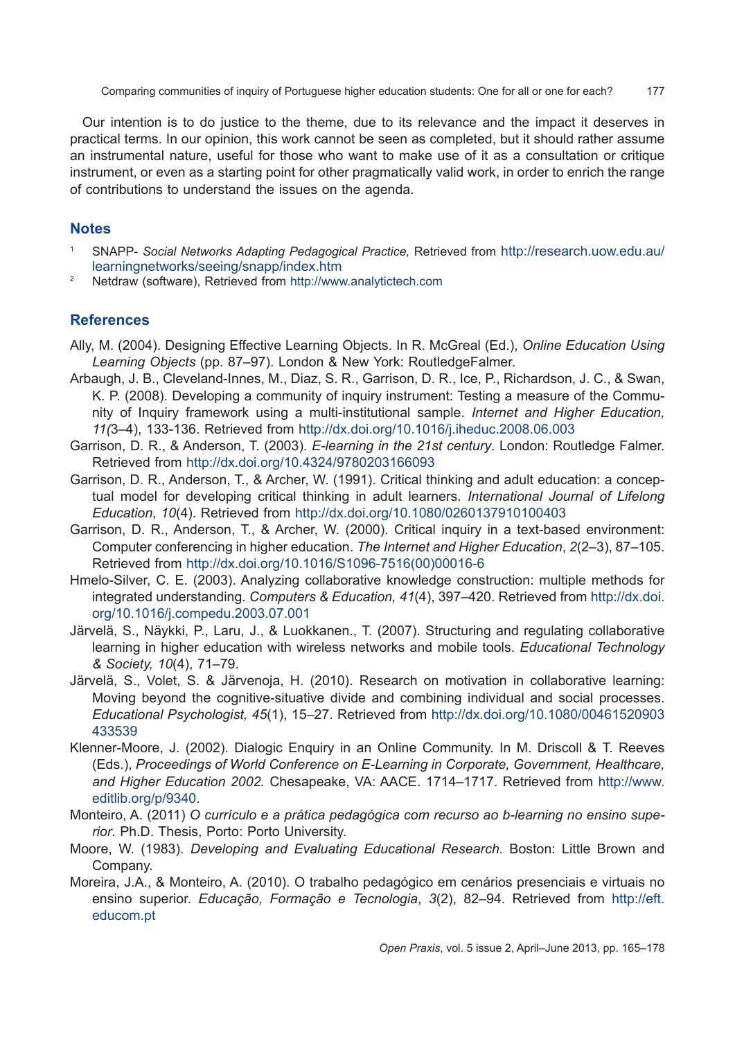Our intention is to do justice to the theme, due to its relevance and the impact it deserves in practical terms. In our opinion, this work cannot be seen as completed, but it should rather assume an instrumental nature, useful for those who want to make use of it as a consultation or critique instrument, or even as a starting point for other pragmatically valid work, in order to enrich the range of contributions to understand the issues on the agenda.

# **Notes**

- <sup>1</sup> SNAPP- *Social Networks Adapting Pedagogical Practice,* Retrieved from [http://research.uow.edu.au/](http://research.uow.edu.au/learningnetworks/seeing/snapp/index.htm) [learningnetworks/seeing/snapp/index.htm](http://research.uow.edu.au/learningnetworks/seeing/snapp/index.htm)
- <sup>2</sup> Netdraw (software), Retrieved from <http://www.analytictech.com>

# **References**

- Ally, M. (2004). Designing Effective Learning Objects. In R. McGreal (Ed.), *Online Education Using Learning Objects* (pp. 87–97). London & New York: RoutledgeFalmer.
- Arbaugh, J. B., Cleveland-Innes, M., Diaz, S. R., Garrison, D. R., Ice, P., Richardson, J. C., & Swan, K. P. (2008). Developing a community of inquiry instrument: Testing a measure of the Community of Inquiry framework using a multi-institutional sample. *Internet and Higher Education, 11(*3–4), 133-136. Retrieved from <http://dx.doi.org/10.1016/j.iheduc.2008.06.003>
- Garrison, D. R., & Anderson, T. (2003). *E-learning in the 21st century*. London: Routledge Falmer. Retrieved from <http://dx.doi.org/10.4324/9780203166093>
- Garrison, D. R., Anderson, T., & Archer, W. (1991). Critical thinking and adult education: a conceptual model for developing critical thinking in adult learners. *International Journal of Lifelong Education*, *10*(4). Retrieved from <http://dx.doi.org/10.1080/0260137910100403>
- Garrison, D. R., Anderson, T., & Archer, W. (2000). Critical inquiry in a text-based environment: Computer conferencing in higher education. *The Internet and Higher Education*, *2*(2–3), 87–105. Retrieved from [http://dx.doi.org/10.1016/S1096-7516\(00\)00016-6](http://dx.doi.org/10.1016/S1096-7516%2800%2900016-6)
- Hmelo-Silver, C. E. (2003). Analyzing collaborative knowledge construction: multiple methods for integrated understanding. *Computers & Education, 41*(4), 397–420. Retrieved from [http://dx.doi.](http://dx.doi.org/10.1016/j.compedu.2003.07.001) [org/10.1016/j.compedu.2003.07.001](http://dx.doi.org/10.1016/j.compedu.2003.07.001)
- Järvelä, S., Näykki, P., Laru, J., & Luokkanen., T. (2007). Structuring and regulating collaborative learning in higher education with wireless networks and mobile tools. *Educational Technology & Society, 10*(4), 71–79.
- Järvelä, S., Volet, S. & Järvenoja, H. (2010). Research on motivation in collaborative learning: Moving beyond the cognitive-situative divide and combining individual and social processes. *Educational Psychologist, 45*(1), 15–27. Retrieved from [http://dx.doi.org/10.1080/00461520903](http://dx.doi.org/10.1080/00461520903433539) [433539](http://dx.doi.org/10.1080/00461520903433539)
- Klenner-Moore, J. (2002). Dialogic Enquiry in an Online Community. In M. Driscoll & T. Reeves (Eds.), *Proceedings of World Conference on E-Learning in Corporate, Government, Healthcare, and Higher Education 2002.* Chesapeake, VA: AACE. 1714–1717. Retrieved from [http://www.](http://www.editlib.org/p/9340) [editlib.org/p/9340](http://www.editlib.org/p/9340).
- Monteiro, A. (2011) *O currículo e a prática pedagógica com recurso ao b-learning no ensino superior*. Ph.D. Thesis, Porto: Porto University.
- Moore, W. (1983). *Developing and Evaluating Educational Research*. Boston: Little Brown and Company.
- Moreira, J.A., & Monteiro, A. (2010). O trabalho pedagógico em cenários presenciais e virtuais no ensino superior. *Educação, Formação e Tecnologia*, *3*(2), 82–94. Retrieved from [http://eft.](http://eft.educom.pt) [educom.pt](http://eft.educom.pt)